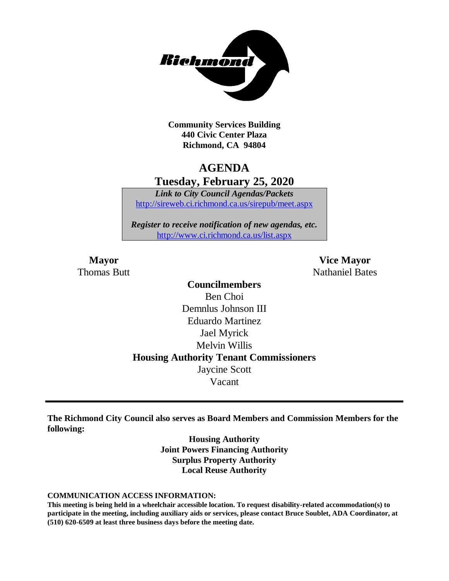

**Community Services Building 440 Civic Center Plaza Richmond, CA 94804**

## **AGENDA Tuesday, February 25, 2020**

*Link to City Council Agendas/Packets* <http://sireweb.ci.richmond.ca.us/sirepub/meet.aspx>

*Register to receive notification of new agendas, etc.* <http://www.ci.richmond.ca.us/list.aspx>

**Mayor Vice Mayor** Thomas Butt **Nathaniel Bates** Nathaniel Bates

> **Councilmembers** Ben Choi Demnlus Johnson III Eduardo Martinez Jael Myrick Melvin Willis **Housing Authority Tenant Commissioners** Jaycine Scott Vacant

**The Richmond City Council also serves as Board Members and Commission Members for the following:**

> **Housing Authority Joint Powers Financing Authority Surplus Property Authority Local Reuse Authority**

#### **COMMUNICATION ACCESS INFORMATION:**

**This meeting is being held in a wheelchair accessible location. To request disability-related accommodation(s) to participate in the meeting, including auxiliary aids or services, please contact Bruce Soublet, ADA Coordinator, at (510) 620-6509 at least three business days before the meeting date.**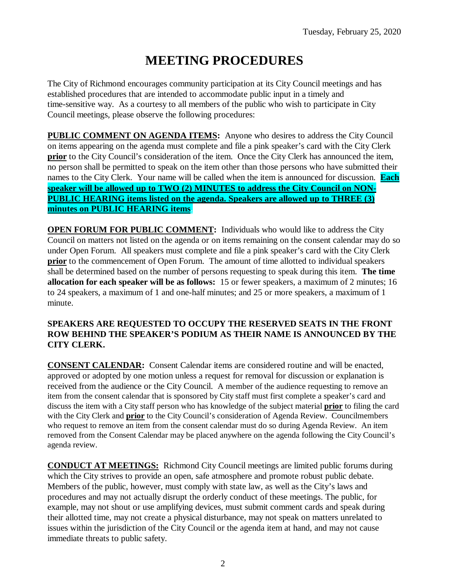# **MEETING PROCEDURES**

The City of Richmond encourages community participation at its City Council meetings and has established procedures that are intended to accommodate public input in a timely and time-sensitive way. As a courtesy to all members of the public who wish to participate in City Council meetings, please observe the following procedures:

**PUBLIC COMMENT ON AGENDA ITEMS:** Anyone who desires to address the City Council on items appearing on the agenda must complete and file a pink speaker's card with the City Clerk **prior** to the City Council's consideration of the item. Once the City Clerk has announced the item, no person shall be permitted to speak on the item other than those persons who have submitted their names to the City Clerk. Your name will be called when the item is announced for discussion. **Each speaker will be allowed up to TWO (2) MINUTES to address the City Council on NON-PUBLIC HEARING items listed on the agenda. Speakers are allowed up to THREE (3) minutes on PUBLIC HEARING items.**

**OPEN FORUM FOR PUBLIC COMMENT:** Individuals who would like to address the City Council on matters not listed on the agenda or on items remaining on the consent calendar may do so under Open Forum. All speakers must complete and file a pink speaker's card with the City Clerk **prior** to the commencement of Open Forum. The amount of time allotted to individual speakers shall be determined based on the number of persons requesting to speak during this item. **The time allocation for each speaker will be as follows:** 15 or fewer speakers, a maximum of 2 minutes; 16 to 24 speakers, a maximum of 1 and one-half minutes; and 25 or more speakers, a maximum of 1 minute.

#### **SPEAKERS ARE REQUESTED TO OCCUPY THE RESERVED SEATS IN THE FRONT ROW BEHIND THE SPEAKER'S PODIUM AS THEIR NAME IS ANNOUNCED BY THE CITY CLERK.**

**CONSENT CALENDAR:** Consent Calendar items are considered routine and will be enacted, approved or adopted by one motion unless a request for removal for discussion or explanation is received from the audience or the City Council. A member of the audience requesting to remove an item from the consent calendar that is sponsored by City staff must first complete a speaker's card and discuss the item with a City staff person who has knowledge of the subject material **prior** to filing the card with the City Clerk and **prior** to the City Council's consideration of Agenda Review. Councilmembers who request to remove an item from the consent calendar must do so during Agenda Review. An item removed from the Consent Calendar may be placed anywhere on the agenda following the City Council's agenda review.

**CONDUCT AT MEETINGS:** Richmond City Council meetings are limited public forums during which the City strives to provide an open, safe atmosphere and promote robust public debate. Members of the public, however, must comply with state law, as well as the City's laws and procedures and may not actually disrupt the orderly conduct of these meetings. The public, for example, may not shout or use amplifying devices, must submit comment cards and speak during their allotted time, may not create a physical disturbance, may not speak on matters unrelated to issues within the jurisdiction of the City Council or the agenda item at hand, and may not cause immediate threats to public safety.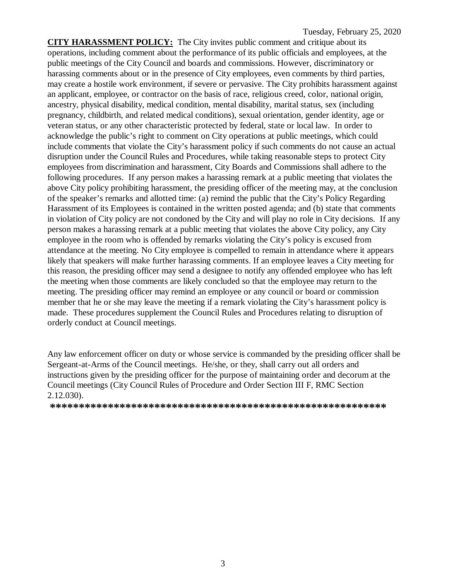**CITY HARASSMENT POLICY:** The City invites public comment and critique about its operations, including comment about the performance of its public officials and employees, at the public meetings of the City Council and boards and commissions. However, discriminatory or harassing comments about or in the presence of City employees, even comments by third parties, may create a hostile work environment, if severe or pervasive. The City prohibits harassment against an applicant, employee, or contractor on the basis of race, religious creed, color, national origin, ancestry, physical disability, medical condition, mental disability, marital status, sex (including pregnancy, childbirth, and related medical conditions), sexual orientation, gender identity, age or veteran status, or any other characteristic protected by federal, state or local law. In order to acknowledge the public's right to comment on City operations at public meetings, which could include comments that violate the City's harassment policy if such comments do not cause an actual disruption under the Council Rules and Procedures, while taking reasonable steps to protect City employees from discrimination and harassment, City Boards and Commissions shall adhere to the following procedures. If any person makes a harassing remark at a public meeting that violates the above City policy prohibiting harassment, the presiding officer of the meeting may, at the conclusion of the speaker's remarks and allotted time: (a) remind the public that the City's Policy Regarding Harassment of its Employees is contained in the written posted agenda; and (b) state that comments in violation of City policy are not condoned by the City and will play no role in City decisions. If any person makes a harassing remark at a public meeting that violates the above City policy, any City employee in the room who is offended by remarks violating the City's policy is excused from attendance at the meeting. No City employee is compelled to remain in attendance where it appears likely that speakers will make further harassing comments. If an employee leaves a City meeting for this reason, the presiding officer may send a designee to notify any offended employee who has left the meeting when those comments are likely concluded so that the employee may return to the meeting. The presiding officer may remind an employee or any council or board or commission member that he or she may leave the meeting if a remark violating the City's harassment policy is made. These procedures supplement the Council Rules and Procedures relating to disruption of orderly conduct at Council meetings.

Any law enforcement officer on duty or whose service is commanded by the presiding officer shall be Sergeant-at-Arms of the Council meetings. He/she, or they, shall carry out all orders and instructions given by the presiding officer for the purpose of maintaining order and decorum at the Council meetings (City Council Rules of Procedure and Order Section III F, RMC Section 2.12.030).

**\*\*\*\*\*\*\*\*\*\*\*\*\*\*\*\*\*\*\*\*\*\*\*\*\*\*\*\*\*\*\*\*\*\*\*\*\*\*\*\*\*\*\*\*\*\*\*\*\*\*\*\*\*\*\*\*\*\***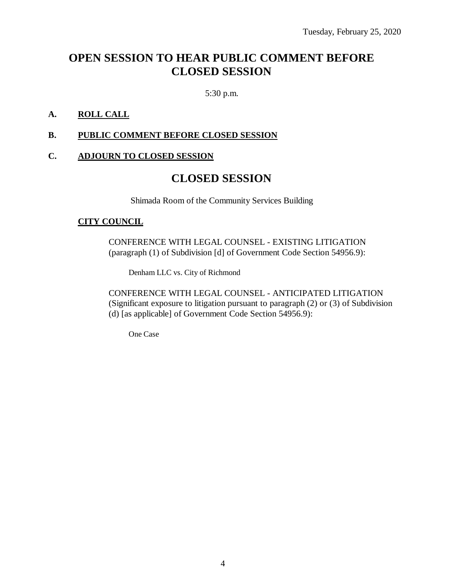## **OPEN SESSION TO HEAR PUBLIC COMMENT BEFORE CLOSED SESSION**

5:30 p.m.

#### **A. ROLL CALL**

#### **B. PUBLIC COMMENT BEFORE CLOSED SESSION**

### **C. ADJOURN TO CLOSED SESSION**

## **CLOSED SESSION**

Shimada Room of the Community Services Building

#### **CITY COUNCIL**

CONFERENCE WITH LEGAL COUNSEL - EXISTING LITIGATION (paragraph (1) of Subdivision [d] of Government Code Section 54956.9):

Denham LLC vs. City of Richmond

CONFERENCE WITH LEGAL COUNSEL - ANTICIPATED LITIGATION (Significant exposure to litigation pursuant to paragraph (2) or (3) of Subdivision (d) [as applicable] of Government Code Section 54956.9):

One Case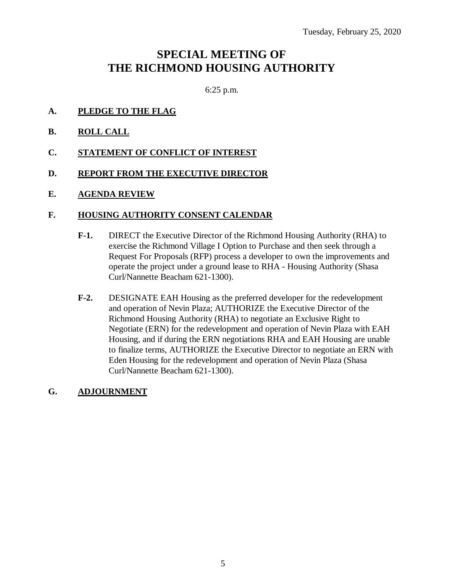## **SPECIAL MEETING OF THE RICHMOND HOUSING AUTHORITY**

6:25 p.m.

- **A. PLEDGE TO THE FLAG**
- **B. ROLL CALL**
- **C. STATEMENT OF CONFLICT OF INTEREST**
- **D. REPORT FROM THE EXECUTIVE DIRECTOR**
- **E. AGENDA REVIEW**

#### **F. HOUSING AUTHORITY CONSENT CALENDAR**

- **F-1.** DIRECT the Executive Director of the Richmond Housing Authority (RHA) to exercise the Richmond Village I Option to Purchase and then seek through a Request For Proposals (RFP) process a developer to own the improvements and operate the project under a ground lease to RHA - Housing Authority (Shasa Curl/Nannette Beacham 621-1300).
- **F-2.** DESIGNATE EAH Housing as the preferred developer for the redevelopment and operation of Nevin Plaza; AUTHORIZE the Executive Director of the Richmond Housing Authority (RHA) to negotiate an Exclusive Right to Negotiate (ERN) for the redevelopment and operation of Nevin Plaza with EAH Housing, and if during the ERN negotiations RHA and EAH Housing are unable to finalize terms, AUTHORIZE the Executive Director to negotiate an ERN with Eden Housing for the redevelopment and operation of Nevin Plaza (Shasa Curl/Nannette Beacham 621-1300).
- **G. ADJOURNMENT**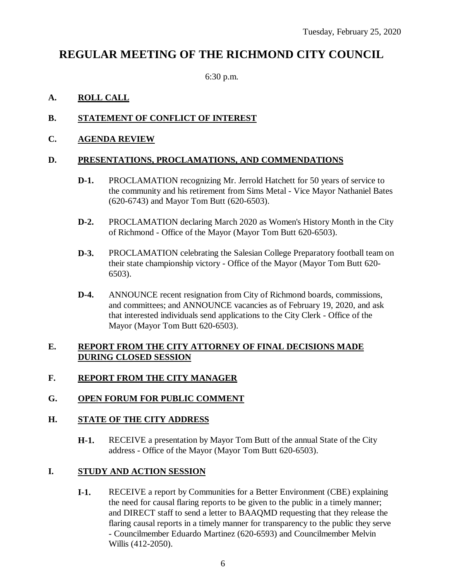## **REGULAR MEETING OF THE RICHMOND CITY COUNCIL**

6:30 p.m.

## **A. ROLL CALL**

## **B. STATEMENT OF CONFLICT OF INTEREST**

### **C. AGENDA REVIEW**

#### **D. PRESENTATIONS, PROCLAMATIONS, AND COMMENDATIONS**

- **D-1.** PROCLAMATION recognizing Mr. Jerrold Hatchett for 50 years of service to the community and his retirement from Sims Metal - Vice Mayor Nathaniel Bates (620-6743) and Mayor Tom Butt (620-6503).
- **D-2.** PROCLAMATION declaring March 2020 as Women's History Month in the City of Richmond - Office of the Mayor (Mayor Tom Butt 620-6503).
- **D-3.** PROCLAMATION celebrating the Salesian College Preparatory football team on their state championship victory - Office of the Mayor (Mayor Tom Butt 620- 6503).
- **D-4.** ANNOUNCE recent resignation from City of Richmond boards, commissions, and committees; and ANNOUNCE vacancies as of February 19, 2020, and ask that interested individuals send applications to the City Clerk - Office of the Mayor (Mayor Tom Butt 620-6503).

#### **E. REPORT FROM THE CITY ATTORNEY OF FINAL DECISIONS MADE DURING CLOSED SESSION**

## **F. REPORT FROM THE CITY MANAGER**

## **G. OPEN FORUM FOR PUBLIC COMMENT**

#### **H. STATE OF THE CITY ADDRESS**

**H-1.** RECEIVE a presentation by Mayor Tom Butt of the annual State of the City address - Office of the Mayor (Mayor Tom Butt 620-6503).

## **I. STUDY AND ACTION SESSION**

**I-1.** RECEIVE a report by Communities for a Better Environment (CBE) explaining the need for causal flaring reports to be given to the public in a timely manner; and DIRECT staff to send a letter to BAAQMD requesting that they release the flaring causal reports in a timely manner for transparency to the public they serve - Councilmember Eduardo Martinez (620-6593) and Councilmember Melvin Willis (412-2050).